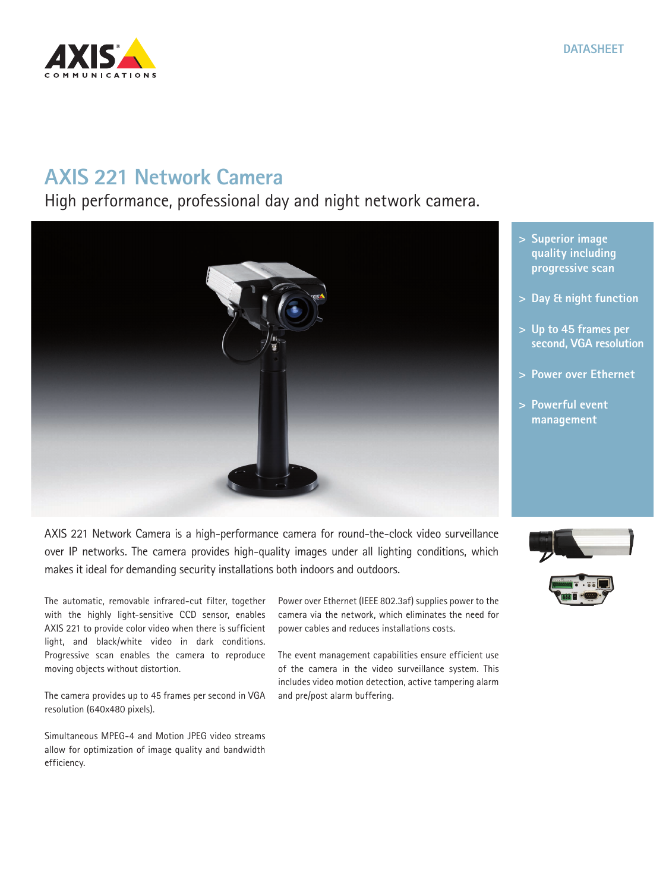## **AXIS 221 Network Camera**

High performance, professional day and night network camera.

AXIS 221 Network Camera is a high-performance camera for round-the-clock video surveillance over IP networks. The camera provides high-quality images under all lighting conditions, which makes it ideal for demanding security installations both indoors and outdoors.

The automatic, removable infrared-cut filter, together with the highly light-sensitive CCD sensor, enables AXIS 221 to provide color video when there is sufficient light, and black/white video in dark conditions. Progressive scan enables the camera to reproduce moving objects without distortion.

The camera provides up to 45 frames per second in VGA resolution (640x480 pixels).

Simultaneous MPEG-4 and Motion JPEG video streams allow for optimization of image quality and bandwidth efficiency.

Power over Ethernet (IEEE 802.3af) supplies power to the camera via the network, which eliminates the need for power cables and reduces installations costs.

The event management capabilities ensure efficient use of the camera in the video surveillance system. This includes video motion detection, active tampering alarm and pre/post alarm buffering.

## **> Superior image quality including progressive scan**

**DATASHEET**

- **> Day & night function**
- **> Up to 45 frames per second, VGA resolution**
- **> Power over Ethernet**
- **> Powerful event management**